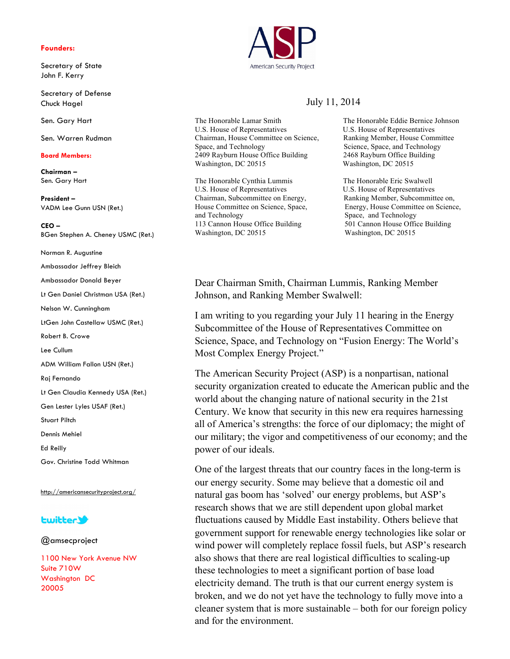### **Founders:**

Secretary of State John F. Kerry

Secretary of Defense Chuck Hagel

Sen. Gary Hart

Sen. Warren Rudman

### **Board Members:**

**Chairman –** Sen. Gary Hart

**President –** VADM Lee Gunn USN (Ret.)

**CEO –** BGen Stephen A. Cheney USMC (Ret.)

Norman R. Augustine

Ambassador Jeffrey Bleich

Ambassador Donald Beyer

Lt Gen Daniel Christman USA (Ret.)

Nelson W. Cunningham

LtGen John Castellaw USMC (Ret.)

Robert B. Crowe

Lee Cullum

ADM William Fallon USN (Ret.)

Raj Fernando

Lt Gen Claudia Kennedy USA (Ret.)

Gen Lester Lyles USAF (Ret.)

Stuart Piltch

Dennis Mehiel

Ed Reilly

Gov. Christine Todd Whitman

http://americansecurityproject.org/

## **Lwitter3**

@amsecproject

1100 New York Avenue NW Suite 710W Washington DC 20005



# July 11, 2014

The Honorable Lamar Smith The Honorable Eddie Bernice Johnson U.S. House of Representatives U.S. House of Representatives Chairman, House Committee on Science, Ranking Member, House Committee Space, and Technology Science, Space, and Technology 2409 Rayburn House Office Building 2468 Rayburn Office Building Washington, DC 20515 Washington, DC 20515

The Honorable Cynthia Lummis The Honorable Eric Swalwell U.S. House of Representatives U.S. House of Representatives Chairman, Subcommittee on Energy, Ranking Member, Subcommittee on, and Technology Space, and Technology 113 Cannon House Office Building 501 Cannon House Office Building Washington, DC 20515 Washington, DC 20515

House Committee on Science, Space, Energy, House Committee on Science,

Dear Chairman Smith, Chairman Lummis, Ranking Member Johnson, and Ranking Member Swalwell:

I am writing to you regarding your July 11 hearing in the Energy Subcommittee of the House of Representatives Committee on Science, Space, and Technology on "Fusion Energy: The World's Most Complex Energy Project."

The American Security Project (ASP) is a nonpartisan, national security organization created to educate the American public and the world about the changing nature of national security in the 21st Century. We know that security in this new era requires harnessing all of America's strengths: the force of our diplomacy; the might of our military; the vigor and competitiveness of our economy; and the power of our ideals.

One of the largest threats that our country faces in the long-term is our energy security. Some may believe that a domestic oil and natural gas boom has 'solved' our energy problems, but ASP's research shows that we are still dependent upon global market fluctuations caused by Middle East instability. Others believe that government support for renewable energy technologies like solar or wind power will completely replace fossil fuels, but ASP's research also shows that there are real logistical difficulties to scaling-up these technologies to meet a significant portion of base load electricity demand. The truth is that our current energy system is broken, and we do not yet have the technology to fully move into a cleaner system that is more sustainable – both for our foreign policy and for the environment.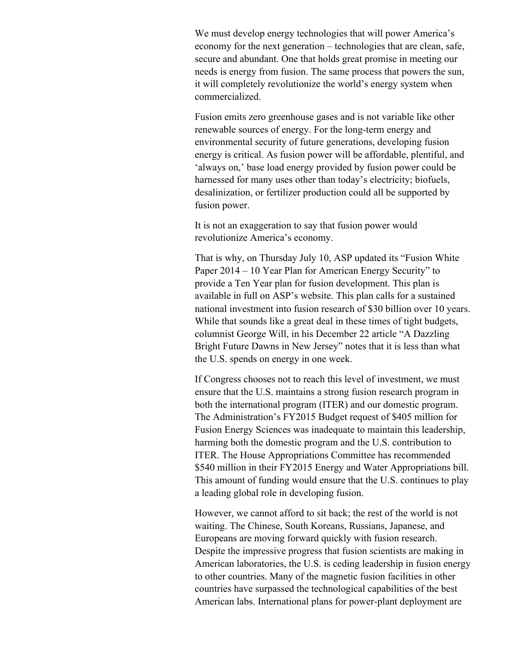We must develop energy technologies that will power America's economy for the next generation – technologies that are clean, safe, secure and abundant. One that holds great promise in meeting our needs is energy from fusion. The same process that powers the sun, it will completely revolutionize the world's energy system when commercialized.

Fusion emits zero greenhouse gases and is not variable like other renewable sources of energy. For the long-term energy and environmental security of future generations, developing fusion energy is critical. As fusion power will be affordable, plentiful, and 'always on,' base load energy provided by fusion power could be harnessed for many uses other than today's electricity; biofuels, desalinization, or fertilizer production could all be supported by fusion power.

It is not an exaggeration to say that fusion power would revolutionize America's economy.

That is why, on Thursday July 10, ASP updated its "Fusion White Paper 2014 – 10 Year Plan for American Energy Security" to provide a Ten Year plan for fusion development. This plan is available in full on ASP's website. This plan calls for a sustained national investment into fusion research of \$30 billion over 10 years. While that sounds like a great deal in these times of tight budgets. columnist George Will, in his December 22 article "A Dazzling Bright Future Dawns in New Jersey" notes that it is less than what the U.S. spends on energy in one week.

If Congress chooses not to reach this level of investment, we must ensure that the U.S. maintains a strong fusion research program in both the international program (ITER) and our domestic program. The Administration's FY2015 Budget request of \$405 million for Fusion Energy Sciences was inadequate to maintain this leadership, harming both the domestic program and the U.S. contribution to ITER. The House Appropriations Committee has recommended \$540 million in their FY2015 Energy and Water Appropriations bill. This amount of funding would ensure that the U.S. continues to play a leading global role in developing fusion.

However, we cannot afford to sit back; the rest of the world is not waiting. The Chinese, South Koreans, Russians, Japanese, and Europeans are moving forward quickly with fusion research. Despite the impressive progress that fusion scientists are making in American laboratories, the U.S. is ceding leadership in fusion energy to other countries. Many of the magnetic fusion facilities in other countries have surpassed the technological capabilities of the best American labs. International plans for power-plant deployment are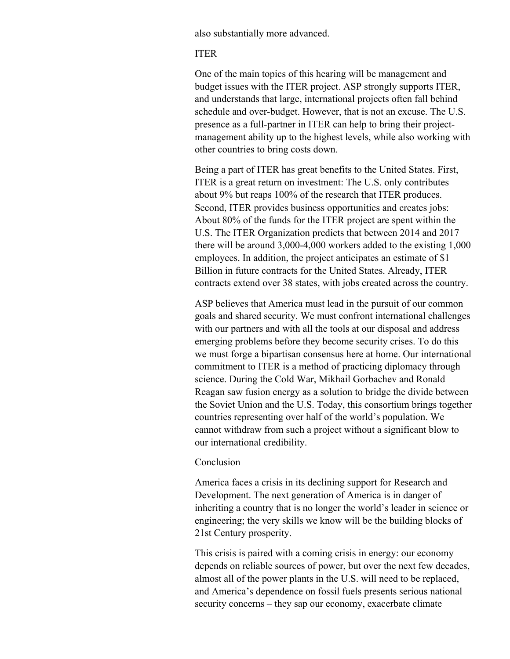also substantially more advanced.

## ITER

One of the main topics of this hearing will be management and budget issues with the ITER project. ASP strongly supports ITER, and understands that large, international projects often fall behind schedule and over-budget. However, that is not an excuse. The U.S. presence as a full-partner in ITER can help to bring their projectmanagement ability up to the highest levels, while also working with other countries to bring costs down.

Being a part of ITER has great benefits to the United States. First, ITER is a great return on investment: The U.S. only contributes about 9% but reaps 100% of the research that ITER produces. Second, ITER provides business opportunities and creates jobs: About 80% of the funds for the ITER project are spent within the U.S. The ITER Organization predicts that between 2014 and 2017 there will be around 3,000-4,000 workers added to the existing 1,000 employees. In addition, the project anticipates an estimate of \$1 Billion in future contracts for the United States. Already, ITER contracts extend over 38 states, with jobs created across the country.

ASP believes that America must lead in the pursuit of our common goals and shared security. We must confront international challenges with our partners and with all the tools at our disposal and address emerging problems before they become security crises. To do this we must forge a bipartisan consensus here at home. Our international commitment to ITER is a method of practicing diplomacy through science. During the Cold War, Mikhail Gorbachev and Ronald Reagan saw fusion energy as a solution to bridge the divide between the Soviet Union and the U.S. Today, this consortium brings together countries representing over half of the world's population. We cannot withdraw from such a project without a significant blow to our international credibility.

# Conclusion

America faces a crisis in its declining support for Research and Development. The next generation of America is in danger of inheriting a country that is no longer the world's leader in science or engineering; the very skills we know will be the building blocks of 21st Century prosperity.

This crisis is paired with a coming crisis in energy: our economy depends on reliable sources of power, but over the next few decades, almost all of the power plants in the U.S. will need to be replaced, and America's dependence on fossil fuels presents serious national security concerns – they sap our economy, exacerbate climate